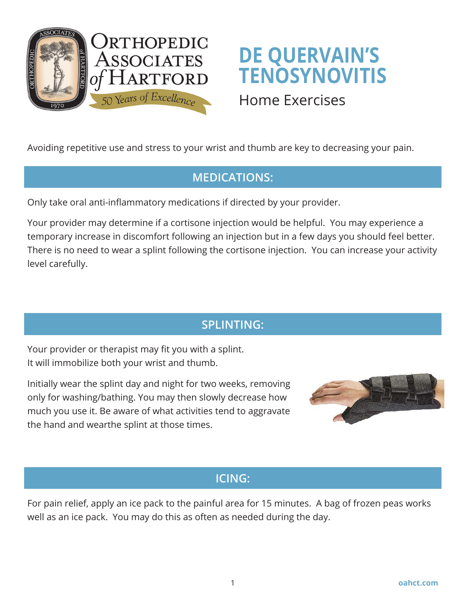

# **DE QUERVAIN'S TENOSYNOVITIS**

# Home Exercises

Avoiding repetitive use and stress to your wrist and thumb are key to decreasing your pain.

## **MEDICATIONS:**

Only take oral anti-inflammatory medications if directed by your provider.

Your provider may determine if a cortisone injection would be helpful. You may experience a temporary increase in discomfort following an injection but in a few days you should feel better. There is no need to wear a splint following the cortisone injection. You can increase your activity level carefully.

# **SPLINTING:**

Your provider or therapist may fit you with a splint. It will immobilize both your wrist and thumb.

Initially wear the splint day and night for two weeks, removing only for washing/bathing. You may then slowly decrease how much you use it. Be aware of what activities tend to aggravate the hand and wearthe splint at those times.



#### **ICING:**

For pain relief, apply an ice pack to the painful area for 15 minutes. A bag of frozen peas works well as an ice pack. You may do this as often as needed during the day.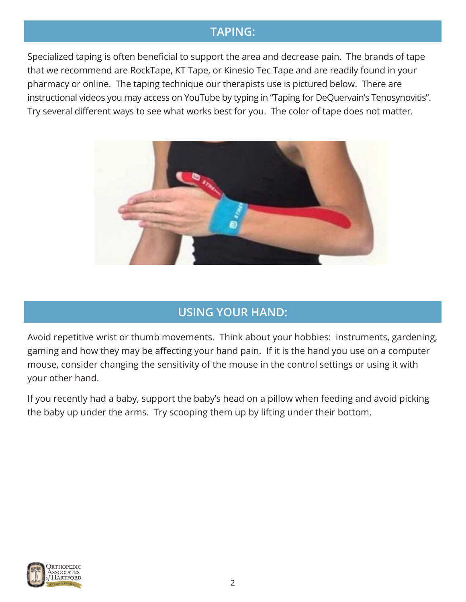#### **TAPING:**

Specialized taping is often beneficial to support the area and decrease pain. The brands of tape that we recommend are RockTape, KT Tape, or Kinesio Tec Tape and are readily found in your pharmacy or online. The taping technique our therapists use is pictured below. There are instructional videos you may access on YouTube by typing in "Taping for DeQuervain's Tenosynovitis". Try several different ways to see what works best for you. The color of tape does not matter.



## **USING YOUR HAND:**

Avoid repetitive wrist or thumb movements. Think about your hobbies: instruments, gardening, gaming and how they may be affecting your hand pain. If it is the hand you use on a computer mouse, consider changing the sensitivity of the mouse in the control settings or using it with your other hand.

If you recently had a baby, support the baby's head on a pillow when feeding and avoid picking the baby up under the arms. Try scooping them up by lifting under their bottom.